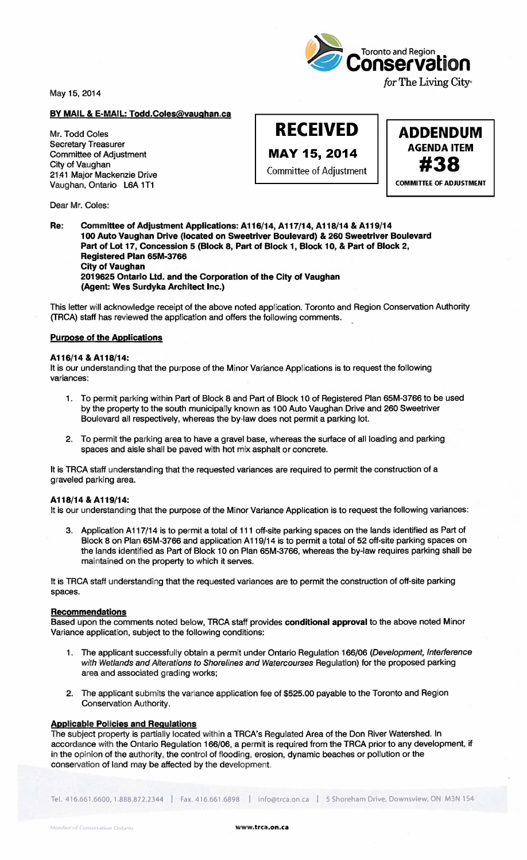May 15, 2014

# BY MAIL & E-MAIL: Todd.Coles@vaughan.ca

Mr. Todd Coles Secretary Treasurer Committee of Adjustment City of Vaughan 21,41 Major Mackenzie Drive Vaughan, Ontario L6A 1T1

Dear Mr. Coles:



**RECEIVED** 

**ADDENDUM** MAY 15, 2014  $\left\vert \begin{array}{c} \text{AGENDA ITEM} \\ \text{Committee of Adjustment} \end{array} \right\vert$  #38 **COMMITTEE OF ADJUSTMENT** 

Re: Committee of Adjustment Applications: A116/14, A117/14, A118/14 & A119/14 1 00 Auto Vaughan Drive (located on Sweetriver Boulevard) & 260 Sweetriver Boulevard Part of Lot 17, Concession 5 (Block 8, Part of Block 1, Block 10, & Part of Block 2, Registered Plan 65M-3766 City of Vaughan 2019625 Ontario Ud. and the Corporation of the City of Vaughan (Agent: Wes Surdyka Architect Inc.)

This letter will acknowledge receipt of the above noted application. Toronto and Region Conservation Authority (TRCA) staff has reviewed the application and offers the following comments.

### Purpose of the Applications

### A116/14 & A118/14:

It is our understanding that the purpose of the Minor Variance Applications is to request the following variances:

- 1. To permit parking within Part of Block 8 and Part of Block 10 of Registered Plan 65M-3766 to be used by the property to the south municipally known as 1 00 Auto Vaughan Drive and 260 Sweetriver Boulevard all respectively, whereas the by-law does not permit a parking lot.
- 2. To permit the parking area to have a gravel base, whereas the surface of all loading and parking spaces and aisle shall be paved with hot mix asphalt or concrete.

It is TRCA staff understanding that the requested variances are required to permit the construction of a graveled parking area.

## A 118/14 & A 119/14:

It is our understanding that the purpose of the Minor Variance Application is to request the following variances:

3. Application A 117/14 is to permit a total of 111 off-site parking spaces on the lands identified as Part of Block 8 on Plan 65M-3766 and application A119/14 is to permit a total of 52 off-site parking spaces on the lands identified as Part of Block 10 on Plan 65M-3766, whereas the by-law requires parking shall be maintained on the property to which it serves.

It is TRCA staff understanding that the requested variances are to permit the construction of off-site parking spaces.

#### **Recommendations**

Based upon the comments noted below, TRCA staff provides conditional approval to the above noted Minor Variance application, subject to the following conditions:

- 1. The applicant successfully obtain a permit under Ontario Regulation 166/06 (Development, Interference with Wetlands and Alterations to Shorelines and Watercourses Regulation) for the proposed parking area and associated grading works;
- 2. The applicant submits the variance application fee of \$525.00 payable to the Toronto and Region Conservation Authority.

## Applicable Policies and Regulations

The subject property is partially located within a TRCA's Regulated Area of the Don River Watershed. In accordance with the Ontario Regulation 166/06, a permit is required from the TRCA prior to any development, if in the opinion of the authority, the control of flooding, erosion, dynamic beaches or pollution or the conservation of land may be affected by the development.

Tel. 416.661.6600,1.888.872.2344 I Fax. 416.661.6898 I info@trca.on.ca I 5 Shoreham Drive. Downsview. ON M3N 154